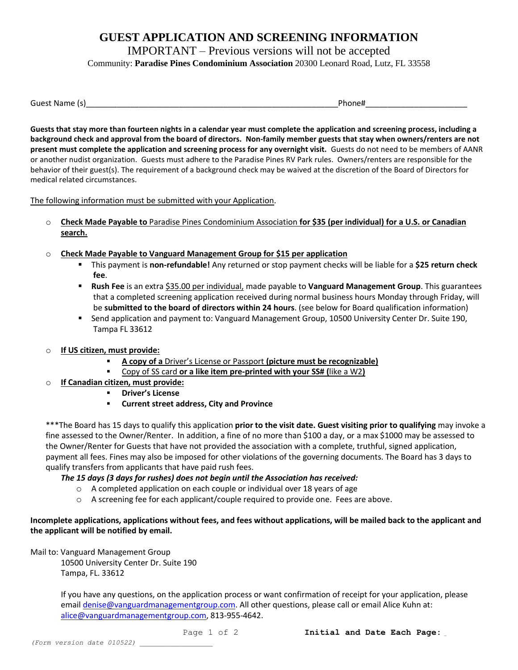# **GUEST APPLICATION AND SCREENING INFORMATION**

### IMPORTANT – Previous versions will not be accepted Community: **Paradise Pines Condominium Association** 20300 Leonard Road, Lutz, FL 33558

Guest Name (s) The Communication of the Communication of the Communication of the Communication of the Communication of the Communication of the Communication of the Communication of the Communication of the Communication

**Guests that stay more than fourteen nights in a calendar year must complete the application and screening process, including a background check and approval from the board of directors. Non-family member guests that stay when owners/renters are not present must complete the application and screening process for any overnight visit.** Guests do not need to be members of AANR or another nudist organization. Guests must adhere to the Paradise Pines RV Park rules. Owners/renters are responsible for the behavior of their guest(s). The requirement of a background check may be waived at the discretion of the Board of Directors for medical related circumstances.

The following information must be submitted with your Application.

- o **Check Made Payable to** Paradise Pines Condominium Association **for \$35 (per individual) for a U.S. or Canadian search.**
- o **Check Made Payable to Vanguard Management Group for \$15 per application**
	- This payment is **non-refundable!** Any returned or stop payment checks will be liable for a **\$25 return check fee**.
	- **EXTER 1.1 In An artical Field Analy 2.1 Consolet Field Analy 2.1 Analy 2.1 Analy 2.1 Analy 2.1 Analy 2.1 Analy 2.1 Analy 2.1 Analy 2.1 Analy 2.1 Analy 2.1 Analy 2.1 Analy 2.1 Analy 2.1 Analy 2.1 Analy 2.1 Analy 2.1 Analy** that a completed screening application received during normal business hours Monday through Friday, will be **submitted to the board of directors within 24 hours**. (see below for Board qualification information)
	- Send application and payment to: Vanguard Management Group, 10500 University Center Dr. Suite 190, Tampa FL 33612
- o **If US citizen, must provide:**
	- **A copy of a** Driver's License or Passport **(picture must be recognizable)**
	- Copy of SS card **or a like item pre-printed with your SS# (**like a W2**)**
- o **If Canadian citizen, must provide:** 
	- **Driver's License**
	- **Current street address, City and Province**

\*\*\*The Board has 15 days to qualify this application **prior to the visit date. Guest visiting prior to qualifying** may invoke a fine assessed to the Owner/Renter. In addition, a fine of no more than \$100 a day, or a max \$1000 may be assessed to the Owner/Renter for Guests that have not provided the association with a complete, truthful, signed application, payment all fees. Fines may also be imposed for other violations of the governing documents. The Board has 3 days to qualify transfers from applicants that have paid rush fees.

### *The 15 days (3 days for rushes) does not begin until the Association has received:*

- o A completed application on each couple or individual over 18 years of age
- $\circ$  A screening fee for each applicant/couple required to provide one. Fees are above.

#### **Incomplete applications, applications without fees, and fees without applications, will be mailed back to the applicant and the applicant will be notified by email.**

Mail to: Vanguard Management Group

10500 University Center Dr. Suite 190 Tampa, FL. 33612

If you have any questions, on the application process or want confirmation of receipt for your application, please email [denise@vanguardmanagementgroup.com.](mailto:denise@vanguardmanagementgroup.com) All other questions, please call or email Alice Kuhn at: [alice@vanguardmanagementgroup.com,](mailto:alice@vanguardmanagementgroup.com) 813-955-4642.